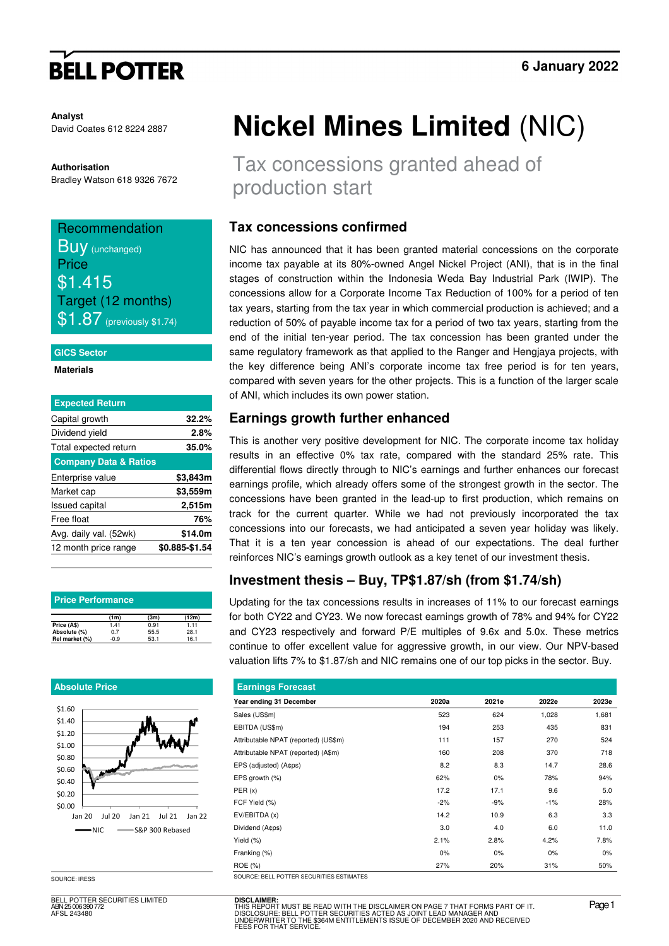# **BELL POTTER**

**Analyst** David Coates 612 8224 2887

### **Authorisation**

Bradley Watson 618 9326 7672

# Recommendation **Buy** (unchanged)

**Price** \$1.415 Target (12 months)  $\$1.87$  (previously \$1.74)

### **GICS Sector**

**Materials** 

| <b>Expected Return</b>           |                |
|----------------------------------|----------------|
| Capital growth                   | 32.2%          |
| Dividend yield                   | 2.8%           |
| Total expected return            | 35.0%          |
| <b>Company Data &amp; Ratios</b> |                |
| Enterprise value                 | \$3,843m       |
| Market cap                       | \$3,559m       |
| <b>Issued capital</b>            | 2,515m         |
| Free float                       | 76%            |
| Avg. daily val. (52wk)           | \$14.0m        |
| 12 month price range             | \$0.885-\$1.54 |

| <b>Price Performance</b> |        |      |       |  |  |  |  |  |
|--------------------------|--------|------|-------|--|--|--|--|--|
|                          | (1m)   | (3m) | (12m) |  |  |  |  |  |
| Price (A\$)              | 1.41   | 0.91 | 1.11  |  |  |  |  |  |
| Absolute (%)             | 0.7    | 55.5 | 28.1  |  |  |  |  |  |
| Rel market (%)           | $-0.9$ | 53.1 | 16.1  |  |  |  |  |  |

## **Absolute Price**



BELL POTTER SECURITIES LIMITED ABN 25 006 390 772 AFSL 243480

# **Nickel Mines Limited** (NIC)

Tax concessions granted ahead of production start

## **Tax concessions confirmed**

NIC has announced that it has been granted material concessions on the corporate income tax payable at its 80%-owned Angel Nickel Project (ANI), that is in the final stages of construction within the Indonesia Weda Bay Industrial Park (IWIP). The concessions allow for a Corporate Income Tax Reduction of 100% for a period of ten tax years, starting from the tax year in which commercial production is achieved; and a reduction of 50% of payable income tax for a period of two tax years, starting from the end of the initial ten-year period. The tax concession has been granted under the same regulatory framework as that applied to the Ranger and Hengjaya projects, with the key difference being ANI's corporate income tax free period is for ten years, compared with seven years for the other projects. This is a function of the larger scale of ANI, which includes its own power station.

## **Earnings growth further enhanced**

This is another very positive development for NIC. The corporate income tax holiday results in an effective 0% tax rate, compared with the standard 25% rate. This differential flows directly through to NIC's earnings and further enhances our forecast earnings profile, which already offers some of the strongest growth in the sector. The concessions have been granted in the lead-up to first production, which remains on track for the current quarter. While we had not previously incorporated the tax concessions into our forecasts, we had anticipated a seven year holiday was likely. That it is a ten year concession is ahead of our expectations. The deal further reinforces NIC's earnings growth outlook as a key tenet of our investment thesis.

# **Investment thesis – Buy, TP\$1.87/sh (from \$1.74/sh)**

Updating for the tax concessions results in increases of 11% to our forecast earnings for both CY22 and CY23. We now forecast earnings growth of 78% and 94% for CY22 and CY23 respectively and forward P/E multiples of 9.6x and 5.0x. These metrics continue to offer excellent value for aggressive growth, in our view. Our NPV-based valuation lifts 7% to \$1.87/sh and NIC remains one of our top picks in the sector. Buy.

| <b>Earnings Forecast</b>             |       |       |       |       |  |  |  |  |  |
|--------------------------------------|-------|-------|-------|-------|--|--|--|--|--|
| Year ending 31 December              | 2020a | 2021e | 2022e | 2023e |  |  |  |  |  |
| Sales (US\$m)                        | 523   | 624   | 1,028 | 1,681 |  |  |  |  |  |
| EBITDA (US\$m)                       | 194   | 253   | 435   | 831   |  |  |  |  |  |
| Attributable NPAT (reported) (US\$m) | 111   | 157   | 270   | 524   |  |  |  |  |  |
| Attributable NPAT (reported) (A\$m)  | 160   | 208   | 370   | 718   |  |  |  |  |  |
| EPS (adjusted) (A¢ps)                | 8.2   | 8.3   | 14.7  | 28.6  |  |  |  |  |  |
| EPS growth (%)                       | 62%   | 0%    | 78%   | 94%   |  |  |  |  |  |
| PER(x)                               | 17.2  | 17.1  | 9.6   | 5.0   |  |  |  |  |  |
| FCF Yield (%)                        | $-2%$ | $-9%$ | $-1%$ | 28%   |  |  |  |  |  |
| EV/EBITDA (x)                        | 14.2  | 10.9  | 6.3   | 3.3   |  |  |  |  |  |
| Dividend (Acps)                      | 3.0   | 4.0   | 6.0   | 11.0  |  |  |  |  |  |
| Yield $(\%)$                         | 2.1%  | 2.8%  | 4.2%  | 7.8%  |  |  |  |  |  |
| Franking (%)                         | 0%    | 0%    | 0%    | 0%    |  |  |  |  |  |
| ROE (%)                              | 27%   | 20%   | 31%   | 50%   |  |  |  |  |  |

SOURCE: IRESS SOURCE: BELL POTTER SECURITI

**DISCLAIMER:** THIS REPORT MUST BE READ WITH THE DISCLAIMER ON PAGE 7 THAT FORMS PART OF IT.<br>DISCLOSURE: BELL POTTER SECURITIES ACTED AS JOINT LEAD MANAGER AND<br>UNDERWRITER TO THE \$364M ENTITLEMENTS ISSUE OF DECEMBER 2020 AND RECEIVED<br>FEE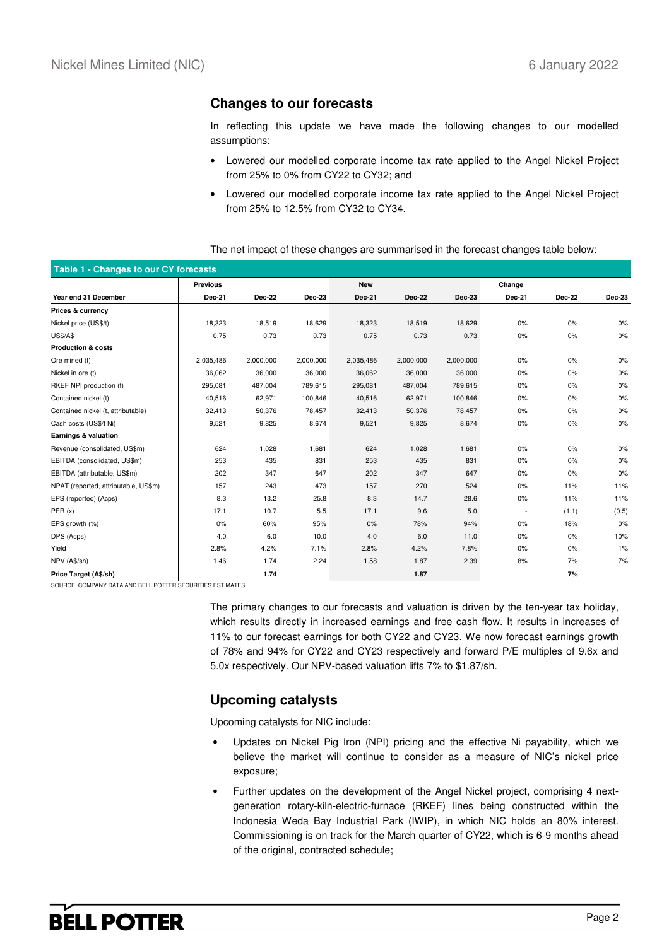## **Changes to our forecasts**

In reflecting this update we have made the following changes to our modelled assumptions:

- Lowered our modelled corporate income tax rate applied to the Angel Nickel Project from 25% to 0% from CY22 to CY32; and
- Lowered our modelled corporate income tax rate applied to the Angel Nickel Project from 25% to 12.5% from CY32 to CY34.

|  | The net impact of these changes are summarised in the forecast changes table below: |  |
|--|-------------------------------------------------------------------------------------|--|
|  |                                                                                     |  |

| Table 1 - Changes to our CY forecasts                                              |                 |               |               |               |               |               |                          |        |               |
|------------------------------------------------------------------------------------|-----------------|---------------|---------------|---------------|---------------|---------------|--------------------------|--------|---------------|
|                                                                                    | <b>Previous</b> |               |               | <b>New</b>    |               |               | Change                   |        |               |
| Year end 31 December                                                               | Dec-21          | <b>Dec-22</b> | <b>Dec-23</b> | <b>Dec-21</b> | <b>Dec-22</b> | <b>Dec-23</b> | <b>Dec-21</b>            | Dec-22 | <b>Dec-23</b> |
| Prices & currency                                                                  |                 |               |               |               |               |               |                          |        |               |
| Nickel price (US\$/t)                                                              | 18,323          | 18,519        | 18,629        | 18,323        | 18,519        | 18,629        | 0%                       | 0%     | 0%            |
| <b>US\$/A\$</b>                                                                    | 0.75            | 0.73          | 0.73          | 0.75          | 0.73          | 0.73          | 0%                       | 0%     | $0\%$         |
| <b>Production &amp; costs</b>                                                      |                 |               |               |               |               |               |                          |        |               |
| Ore mined (t)                                                                      | 2,035,486       | 2,000,000     | 2,000,000     | 2,035,486     | 2,000,000     | 2,000,000     | 0%                       | 0%     | $0\%$         |
| Nickel in ore (t)                                                                  | 36,062          | 36,000        | 36,000        | 36,062        | 36,000        | 36,000        | 0%                       | 0%     | $0\%$         |
| RKEF NPI production (t)                                                            | 295,081         | 487,004       | 789,615       | 295,081       | 487,004       | 789,615       | 0%                       | 0%     | $0\%$         |
| Contained nickel (t)                                                               | 40,516          | 62,971        | 100,846       | 40,516        | 62,971        | 100,846       | 0%                       | 0%     | 0%            |
| Contained nickel (t, attributable)                                                 | 32,413          | 50,376        | 78,457        | 32,413        | 50,376        | 78,457        | 0%                       | 0%     | $0\%$         |
| Cash costs (US\$/t Ni)                                                             | 9,521           | 9,825         | 8,674         | 9,521         | 9,825         | 8,674         | 0%                       | 0%     | $0\%$         |
| Earnings & valuation                                                               |                 |               |               |               |               |               |                          |        |               |
| Revenue (consolidated, US\$m)                                                      | 624             | 1,028         | 1,681         | 624           | 1,028         | 1,681         | 0%                       | 0%     | 0%            |
| EBITDA (consolidated, US\$m)                                                       | 253             | 435           | 831           | 253           | 435           | 831           | 0%                       | 0%     | 0%            |
| EBITDA (attributable, US\$m)                                                       | 202             | 347           | 647           | 202           | 347           | 647           | 0%                       | 0%     | 0%            |
| NPAT (reported, attributable, US\$m)                                               | 157             | 243           | 473           | 157           | 270           | 524           | 0%                       | 11%    | 11%           |
| EPS (reported) (Acps)                                                              | 8.3             | 13.2          | 25.8          | 8.3           | 14.7          | 28.6          | 0%                       | 11%    | 11%           |
| PER(x)                                                                             | 17.1            | 10.7          | 5.5           | 17.1          | 9.6           | 5.0           | $\overline{\phantom{a}}$ | (1.1)  | (0.5)         |
| EPS growth (%)                                                                     | 0%              | 60%           | 95%           | 0%            | 78%           | 94%           | 0%                       | 18%    | 0%            |
| DPS (Acps)                                                                         | 4.0             | 6.0           | 10.0          | 4.0           | 6.0           | 11.0          | 0%                       | 0%     | 10%           |
| Yield                                                                              | 2.8%            | 4.2%          | 7.1%          | 2.8%          | 4.2%          | 7.8%          | 0%                       | 0%     | $1\%$         |
| NPV (A\$/sh)                                                                       | 1.46            | 1.74          | 2.24          | 1.58          | 1.87          | 2.39          | 8%                       | 7%     | 7%            |
| Price Target (A\$/sh)<br>SOURCE: COMPANY DATA AND BELL POTTER SECURITIES ESTIMATES |                 | 1.74          |               |               | 1.87          |               |                          | 7%     |               |

The primary changes to our forecasts and valuation is driven by the ten-year tax holiday, which results directly in increased earnings and free cash flow. It results in increases of 11% to our forecast earnings for both CY22 and CY23. We now forecast earnings growth of 78% and 94% for CY22 and CY23 respectively and forward P/E multiples of 9.6x and 5.0x respectively. Our NPV-based valuation lifts 7% to \$1.87/sh.

## **Upcoming catalysts**

Upcoming catalysts for NIC include:

- Updates on Nickel Pig Iron (NPI) pricing and the effective Ni payability, which we believe the market will continue to consider as a measure of NIC's nickel price exposure;
- Further updates on the development of the Angel Nickel project, comprising 4 nextgeneration rotary-kiln-electric-furnace (RKEF) lines being constructed within the Indonesia Weda Bay Industrial Park (IWIP), in which NIC holds an 80% interest. Commissioning is on track for the March quarter of CY22, which is 6-9 months ahead of the original, contracted schedule;

# **BELL POTTER**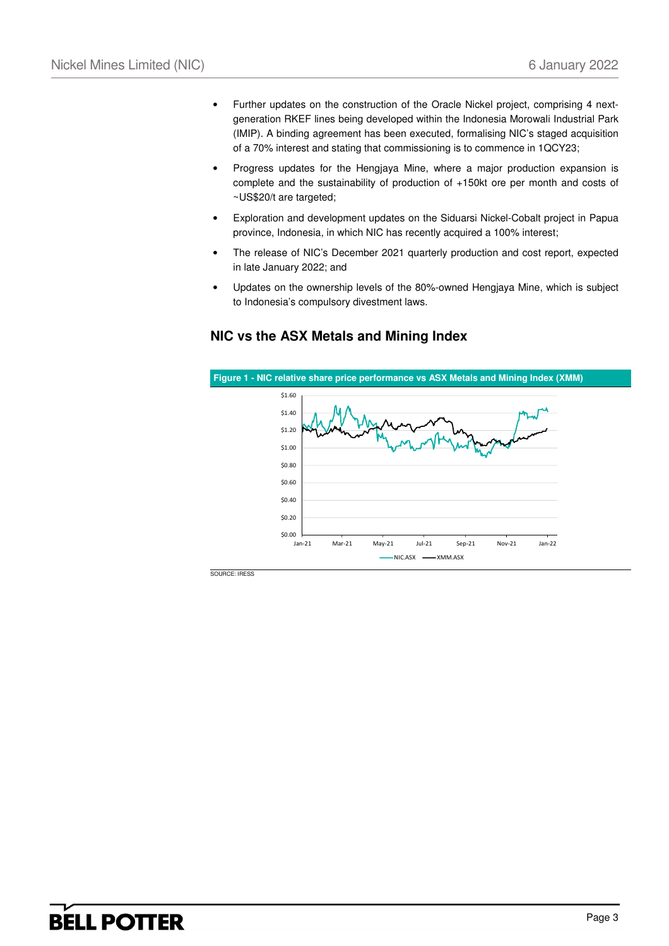- Further updates on the construction of the Oracle Nickel project, comprising 4 nextgeneration RKEF lines being developed within the Indonesia Morowali Industrial Park (IMIP). A binding agreement has been executed, formalising NIC's staged acquisition of a 70% interest and stating that commissioning is to commence in 1QCY23;
- Progress updates for the Hengjaya Mine, where a major production expansion is complete and the sustainability of production of +150kt ore per month and costs of ~US\$20/t are targeted;
- Exploration and development updates on the Siduarsi Nickel-Cobalt project in Papua province, Indonesia, in which NIC has recently acquired a 100% interest;
- The release of NIC's December 2021 quarterly production and cost report, expected in late January 2022; and
- Updates on the ownership levels of the 80%-owned Hengjaya Mine, which is subject to Indonesia's compulsory divestment laws.

# **Figure 1 - NIC relative share price performance vs ASX Metals and Mining Index (XMM)**   $\begin{array}{c} 50.00 \\ \text{Jan-21} \end{array}$ \$0.20  $$0.40$ \$0.60 \$0.80 \$1.00  $$1.20$ \$1.40 \$1.60 Jan-21 Mar-21 May-21 Jul-21 Sep-21 Nov-21 Jan-22  $NIC.ASX$   $\longrightarrow$  XMM.ASX

## **NIC vs the ASX Metals and Mining Index**

SOURCE: IRESS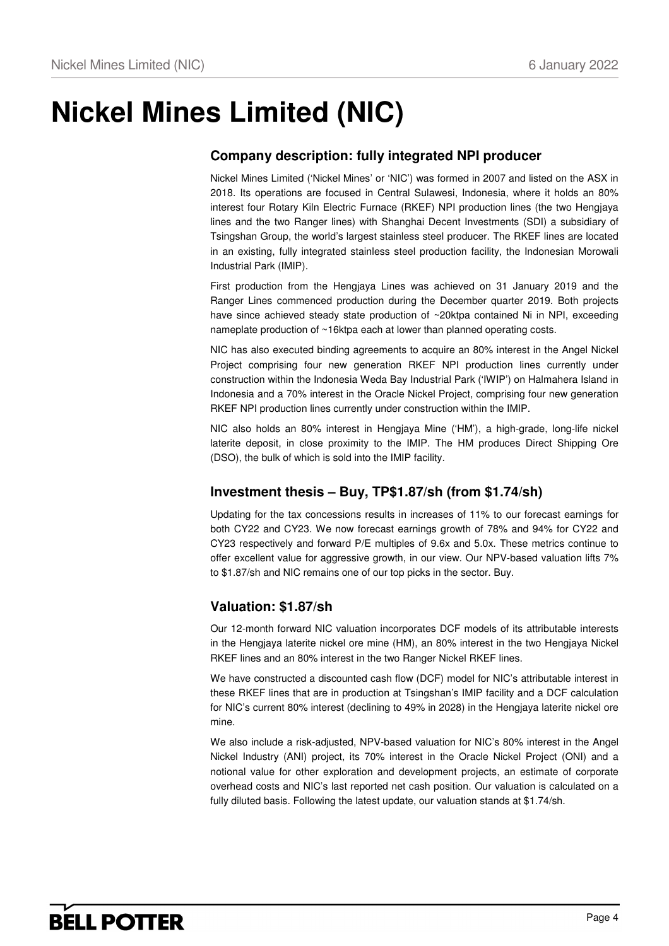# **Nickel Mines Limited (NIC)**

# **Company description: fully integrated NPI producer**

Nickel Mines Limited ('Nickel Mines' or 'NIC') was formed in 2007 and listed on the ASX in 2018. Its operations are focused in Central Sulawesi, Indonesia, where it holds an 80% interest four Rotary Kiln Electric Furnace (RKEF) NPI production lines (the two Hengjaya lines and the two Ranger lines) with Shanghai Decent Investments (SDI) a subsidiary of Tsingshan Group, the world's largest stainless steel producer. The RKEF lines are located in an existing, fully integrated stainless steel production facility, the Indonesian Morowali Industrial Park (IMIP).

First production from the Hengjaya Lines was achieved on 31 January 2019 and the Ranger Lines commenced production during the December quarter 2019. Both projects have since achieved steady state production of ~20ktpa contained Ni in NPI, exceeding nameplate production of ~16ktpa each at lower than planned operating costs.

NIC has also executed binding agreements to acquire an 80% interest in the Angel Nickel Project comprising four new generation RKEF NPI production lines currently under construction within the Indonesia Weda Bay Industrial Park ('IWIP') on Halmahera Island in Indonesia and a 70% interest in the Oracle Nickel Project, comprising four new generation RKEF NPI production lines currently under construction within the IMIP.

NIC also holds an 80% interest in Hengjaya Mine ('HM'), a high-grade, long-life nickel laterite deposit, in close proximity to the IMIP. The HM produces Direct Shipping Ore (DSO), the bulk of which is sold into the IMIP facility.

# **Investment thesis – Buy, TP\$1.87/sh (from \$1.74/sh)**

Updating for the tax concessions results in increases of 11% to our forecast earnings for both CY22 and CY23. We now forecast earnings growth of 78% and 94% for CY22 and CY23 respectively and forward P/E multiples of 9.6x and 5.0x. These metrics continue to offer excellent value for aggressive growth, in our view. Our NPV-based valuation lifts 7% to \$1.87/sh and NIC remains one of our top picks in the sector. Buy.

# **Valuation: \$1.87/sh**

Our 12-month forward NIC valuation incorporates DCF models of its attributable interests in the Hengjaya laterite nickel ore mine (HM), an 80% interest in the two Hengjaya Nickel RKEF lines and an 80% interest in the two Ranger Nickel RKEF lines.

We have constructed a discounted cash flow (DCF) model for NIC's attributable interest in these RKEF lines that are in production at Tsingshan's IMIP facility and a DCF calculation for NIC's current 80% interest (declining to 49% in 2028) in the Hengjaya laterite nickel ore mine.

We also include a risk-adjusted, NPV-based valuation for NIC's 80% interest in the Angel Nickel Industry (ANI) project, its 70% interest in the Oracle Nickel Project (ONI) and a notional value for other exploration and development projects, an estimate of corporate overhead costs and NIC's last reported net cash position. Our valuation is calculated on a fully diluted basis. Following the latest update, our valuation stands at \$1.74/sh.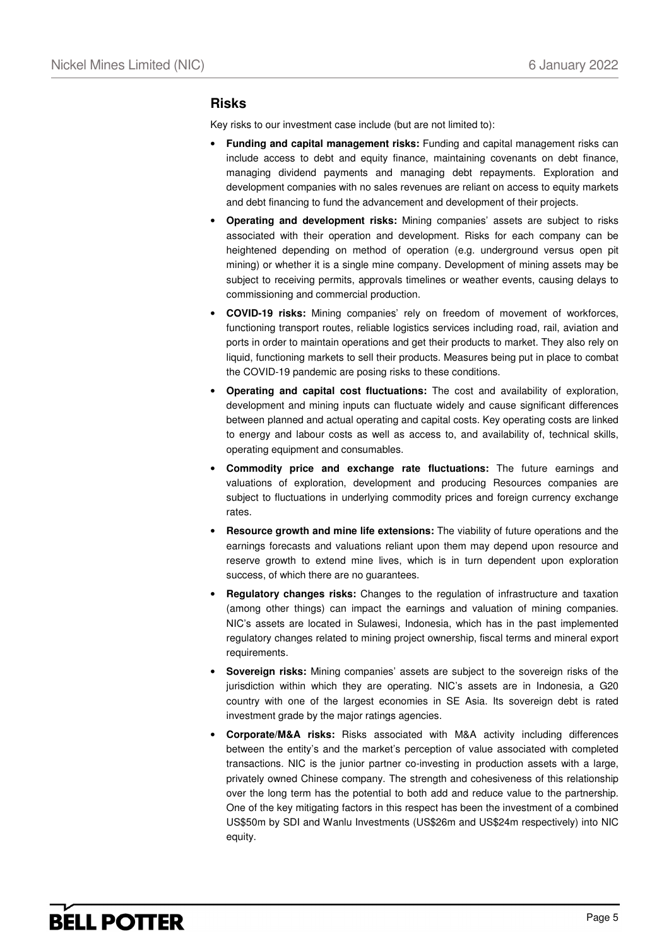## **Risks**

Key risks to our investment case include (but are not limited to):

- **Funding and capital management risks:** Funding and capital management risks can include access to debt and equity finance, maintaining covenants on debt finance, managing dividend payments and managing debt repayments. Exploration and development companies with no sales revenues are reliant on access to equity markets and debt financing to fund the advancement and development of their projects.
- **Operating and development risks:** Mining companies' assets are subject to risks associated with their operation and development. Risks for each company can be heightened depending on method of operation (e.g. underground versus open pit mining) or whether it is a single mine company. Development of mining assets may be subject to receiving permits, approvals timelines or weather events, causing delays to commissioning and commercial production.
- **COVID-19 risks:** Mining companies' rely on freedom of movement of workforces, functioning transport routes, reliable logistics services including road, rail, aviation and ports in order to maintain operations and get their products to market. They also rely on liquid, functioning markets to sell their products. Measures being put in place to combat the COVID-19 pandemic are posing risks to these conditions.
- **Operating and capital cost fluctuations:** The cost and availability of exploration, development and mining inputs can fluctuate widely and cause significant differences between planned and actual operating and capital costs. Key operating costs are linked to energy and labour costs as well as access to, and availability of, technical skills, operating equipment and consumables.
- **Commodity price and exchange rate fluctuations:** The future earnings and valuations of exploration, development and producing Resources companies are subject to fluctuations in underlying commodity prices and foreign currency exchange rates.
- **Resource growth and mine life extensions:** The viability of future operations and the earnings forecasts and valuations reliant upon them may depend upon resource and reserve growth to extend mine lives, which is in turn dependent upon exploration success, of which there are no guarantees.
- **Regulatory changes risks:** Changes to the regulation of infrastructure and taxation (among other things) can impact the earnings and valuation of mining companies. NIC's assets are located in Sulawesi, Indonesia, which has in the past implemented regulatory changes related to mining project ownership, fiscal terms and mineral export requirements.
- **Sovereign risks:** Mining companies' assets are subject to the sovereign risks of the jurisdiction within which they are operating. NIC's assets are in Indonesia, a G20 country with one of the largest economies in SE Asia. Its sovereign debt is rated investment grade by the major ratings agencies.
- **Corporate/M&A risks:** Risks associated with M&A activity including differences between the entity's and the market's perception of value associated with completed transactions. NIC is the junior partner co-investing in production assets with a large, privately owned Chinese company. The strength and cohesiveness of this relationship over the long term has the potential to both add and reduce value to the partnership. One of the key mitigating factors in this respect has been the investment of a combined US\$50m by SDI and Wanlu Investments (US\$26m and US\$24m respectively) into NIC equity.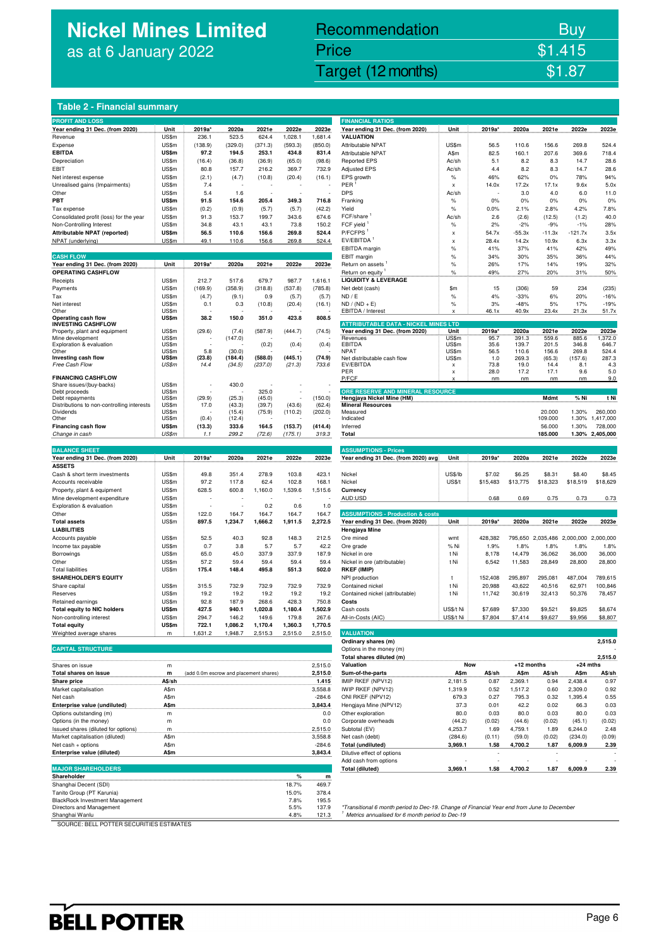# **Nickel Mines Limited** as at 6 January 2022

# Recommendation Buy Price \$1.415

Nickel Mines Limited (Nickel Mines Limited (Nickel Mines Limited States 1981)

|  | Table 2 - Financial summarv. |
|--|------------------------------|
|  |                              |

|                                                                |                |                                        |                 |         |         |          | <b>FINANCIAL RATIOS</b>                                                                    |                |              |                 |                             |                |                            |
|----------------------------------------------------------------|----------------|----------------------------------------|-----------------|---------|---------|----------|--------------------------------------------------------------------------------------------|----------------|--------------|-----------------|-----------------------------|----------------|----------------------------|
| <b>PROFIT AND LOSS</b><br>Year ending 31 Dec. (from 2020)      | Unit           | 2019a*                                 | 2020a           | 2021e   | 2022e   | 2023e    | Year ending 31 Dec. (from 2020)                                                            | Unit           | 2019a*       | 2020a           | 2021e                       | 2022e          | 2023e                      |
| Revenue                                                        | US\$m          | 236.1                                  | 523.5           | 624.4   | 1,028.1 | 1,681.4  | <b>VALUATION</b>                                                                           |                |              |                 |                             |                |                            |
| Expense                                                        | US\$m          | (138.9)                                | (329.0)         | (371.3) | (593.3) | (850.0)  | Attributable NPAT                                                                          | US\$m          | 56.5         | 110.6           | 156.6                       | 269.8          | 524.4                      |
| <b>EBITDA</b>                                                  | <b>US\$m</b>   | 97.2                                   | 194.5           | 253.1   | 434.8   | 831.4    | <b>Attributable NPAT</b>                                                                   | A\$m           | 82.5         | 160.1           | 207.6                       | 369.6          | 718.4                      |
| Depreciation                                                   | US\$m          | (16.4)                                 | (36.8)          | (36.9)  | (65.0)  | (98.6)   | <b>Reported EPS</b>                                                                        | Ac/sh          | 5.1          | 8.2             | 8.3                         | 14.7           | 28.6                       |
| EBIT                                                           | US\$m          | 80.8                                   | 157.7           | 216.2   | 369.7   | 732.9    | <b>Adjusted EPS</b>                                                                        | Ac/sh          | 4.4          | 8.2             | 8.3                         | 14.7           | 28.6                       |
| Net interest expense                                           | US\$m          | (2.1)                                  | (4.7)           | (10.8)  | (20.4)  | (16.1)   | EPS growth                                                                                 | $\%$           | 46%          | 62%             | 0%                          | 78%            | 94%                        |
| Unrealised gains (Impairments)                                 | US\$m          | 7.4                                    |                 |         |         |          | PER                                                                                        | x              | 14.0x        | 17.2x           | 17.1x                       | 9.6x           | 5.0x                       |
| Other                                                          | US\$m          | 5.4                                    | 1.6             |         |         |          | <b>DPS</b>                                                                                 | Ac/sh          |              | 3.0             | 4.0                         | 6.0            | 11.0                       |
| PBT                                                            | US\$m          | 91.5                                   | 154.6           | 205.4   | 349.3   | 716.8    | Franking                                                                                   | $\%$           | 0%           | $0\%$           | 0%                          | 0%             | 0%                         |
| Tax expense                                                    | US\$m          | (0.2)                                  | (0.9)           | (5.7)   | (5.7)   | (42.2)   | Yield                                                                                      | $\%$           | 0.0%         | 2.1%            | 2.8%                        | 4.2%           | 7.8%                       |
| Consolidated profit (loss) for the year                        | US\$m          | 91.3                                   | 153.7           | 199.7   | 343.6   | 674.6    | FCF/share                                                                                  | Ac/sh          | 2.6          | (2.6)           | (12.5)                      | (1.2)          | 40.0                       |
| Non-Controlling Interest                                       | US\$m          | 34.8                                   | 43.1            | 43.1    | 73.8    | 150.2    | FCF yield                                                                                  | $\%$           | 2%           | $-2%$           | $-9%$                       | $-1%$          | 28%                        |
| Attributable NPAT (reported)                                   | US\$m          | 56.5                                   | 110.6           | 156.6   | 269.8   | 524.4    | P/FCFPS <sup>1</sup>                                                                       | x              | 54.7x        | $-55.3x$        | $-11.3x$                    | $-121.7x$      | 3.5x                       |
| NPAT (underlying)                                              | US\$m          | 49.1                                   | 110.6           | 156.6   | 269.8   | 524.4    | EV/EBITDA <sup>1</sup>                                                                     | x              | 28.4x        | 14.2x           | 10.9x                       | 6.3x           | 3.3x                       |
|                                                                |                |                                        |                 |         |         |          | EBITDA margin                                                                              | %              | 41%          | 37%             | 41%                         | 42%            | 49%                        |
| <b>CASH FLOW</b>                                               |                |                                        |                 |         |         |          | EBIT margin                                                                                | $\%$           | 34%          | 30%             | 35%                         | 36%            | 44%                        |
| Year ending 31 Dec. (from 2020)                                | Unit           | 2019a*                                 | 2020a           | 2021e   | 2022e   | 2023e    | Return on assets                                                                           | $\%$           | 26%          | 17%             | 14%                         | 19%            | 32%                        |
| <b>OPERATING CASHFLOW</b>                                      |                |                                        |                 |         |         |          | Return on equity                                                                           | $\%$           | 49%          | 27%             | 20%                         | 31%            | 50%                        |
| Receipts                                                       | US\$m          | 212.7                                  | 517.6           | 679.7   | 987.7   | 1,616.1  | <b>LIQUIDITY &amp; LEVERAGE</b>                                                            |                |              |                 |                             |                |                            |
| Payments                                                       | US\$m          | (169.9)                                | (358.9)         | (318.8) | (537.8) | (785.8)  | Net debt (cash)                                                                            | \$m            | 15           | (306)           | 59                          | 234            | (235)                      |
| Tax                                                            | US\$m          | (4.7)                                  | (9.1)           | 0.9     | (5.7)   | (5.7)    | ND / E                                                                                     | $\%$           | 4%           | $-33%$          | 6%                          | 20%            | $-16%$                     |
| Net interest<br>Other                                          | US\$m<br>US\$m | 0.1                                    | 0.3             | (10.8)  | (20.4)  | (16.1)   | $ND / (ND + E)$<br>EBITDA / Interest                                                       | %<br>x         | 3%<br>46.1x  | $-48%$<br>40.9x | 5%<br>23.4x                 | 17%<br>21.3x   | $-19%$<br>51.7x            |
| Operating cash flow                                            | US\$m          | 38.2                                   | 150.0           | 351.0   | 423.8   | 808.5    |                                                                                            |                |              |                 |                             |                |                            |
| <b>INVESTING CASHFLOW</b>                                      |                |                                        |                 |         |         |          | <b>ATTRIBUTABLE DATA - NICKEL MINES LTD</b>                                                |                |              |                 |                             |                |                            |
| Property, plant and equipment                                  | US\$m          | (29.6)                                 | (7.4)           | (587.9) | (444.7) | (74.5)   | Year ending 31 Dec. (from 2020)                                                            | Unit           | 2019a*       | 2020a           | 2021e                       | 2022e          | 2023e                      |
| Mine development                                               | US\$m          |                                        | (147.0)         |         |         |          | Revenues                                                                                   | US\$m          | 95.7         | 391.3           | 559.6                       | 885.6          | 1,372.0                    |
| Exploration & evaluation<br>Other                              | US\$m<br>US\$m | 5.8                                    | (30.0)          | (0.2)   | (0.4)   | (0.4)    | EBITDA<br><b>NPAT</b>                                                                      | US\$m<br>US\$m | 35.6<br>56.5 | 139.7<br>110.6  | 201.5<br>156.6              | 346.8<br>269.8 | 646.7<br>524.4             |
| Investing cash flow                                            | US\$m          | (23.8)                                 | (184.4)         | (588.0) | (445.1) | (74.9)   | Net distributable cash flow                                                                | US\$m          | 1.0          | 269.3           | (65.3)                      | (157.6)        | 287.3                      |
| Free Cash Flow                                                 | US\$m          | 14.4                                   | (34.5)          | (237.0) | (21.3)  | 733.6    | EV/EBITDA                                                                                  | x              | 73.8         | 19.0            | 14.4                        | 8.1            | 4.3                        |
|                                                                |                |                                        |                 |         |         |          | PER                                                                                        | x              | 28.0         | 17.2            | 17.1                        | 9.6            | 5.0                        |
| <b>FINANCING CASHFLOW</b><br>Share issues/(buy-backs)          | US\$m          |                                        | 430.0           |         |         |          | P/FCF                                                                                      | x              | nm           | nm              | nm                          | nm             | 9.0                        |
| Debt proceeds                                                  | US\$m          |                                        |                 | 325.0   |         |          | ORE RESERVE AND MINERAL RESOURCE                                                           |                |              |                 |                             |                |                            |
| Debt repayments                                                | US\$m          | (29.9)                                 | (25.3)          | (45.0)  |         | (150.0)  | Hengjaya Nickel Mine (HM)                                                                  |                |              |                 | Mdmt                        | % Ni           | t Ni                       |
| Distributions to non-controlling interests                     | US\$m          | 17.0                                   | (43.3)          | (39.7)  | (43.6)  | (62.4)   | <b>Mineral Resources</b>                                                                   |                |              |                 |                             |                |                            |
| Dividends                                                      | US\$m          |                                        | (15.4)          | (75.9)  | (110.2) | (202.0)  | Measured                                                                                   |                |              |                 | 20.000                      | 1.30%          | 260,000                    |
| Other<br>Financing cash flow                                   | US\$m<br>US\$m | (0.4)                                  | (12.4)<br>333.6 | 164.5   | (153.7) | (414.4)  | Indicated                                                                                  |                |              |                 | 109.000                     | 1.30%          | 1,417,000                  |
| Change in cash                                                 | US\$m          | (13.3)<br>1.1                          | 299.2           | (72.6)  | (175.1) | 319.3    | Inferred<br>Total                                                                          |                |              |                 | 56.000<br>185.000           | 1.30%          | 728,000<br>1.30% 2.405.000 |
|                                                                |                |                                        |                 |         |         |          |                                                                                            |                |              |                 |                             |                |                            |
| <b>BALANCE SHEET</b>                                           |                |                                        |                 |         |         |          | <b>ASSUMPTIONS - Prices</b>                                                                |                |              |                 |                             |                |                            |
| Year ending 31 Dec. (from 2020)                                | Unit           | 2019a*                                 | 2020a           | 2021e   | 2022e   | 2023e    | Year ending 31 Dec. (from 2020) avg                                                        | Unit           | 2019a*       | 2020a           | 2021e                       | 2022e          | 2023e                      |
| <b>ASSETS</b>                                                  |                |                                        |                 |         |         |          |                                                                                            |                |              |                 |                             |                |                            |
| Cash & short term investments                                  | US\$m          | 49.8                                   | 351.4           | 278.9   | 103.8   | 423.1    | Nickel                                                                                     | US\$/lb        | \$7.02       | \$6.25          | \$8.31                      | \$8.40         | \$8.45                     |
| Accounts receivable                                            | US\$m          | 97.2                                   | 117.8           | 62.4    | 102.8   | 168.1    | Nickel                                                                                     | <b>US\$/t</b>  | \$15,483     | \$13,775        | \$18,323                    | \$18,519       | \$18,629                   |
| Property, plant & equipment                                    | US\$m          | 628.5                                  | 600.8           | 1,160.0 | 1,539.6 | 1,515.6  | Currency                                                                                   |                |              |                 |                             |                |                            |
| Mine development expenditure                                   | US\$m          |                                        |                 |         |         |          | AUD:USD                                                                                    |                | 0.68         | 0.69            | 0.75                        | 0.73           | 0.73                       |
| Exploration & evaluation                                       | US\$m          |                                        |                 | 0.2     | 0.6     | 1.0      |                                                                                            |                |              |                 |                             |                |                            |
| Other                                                          | US\$m          | 122.0                                  | 164.7           | 164.7   | 164.7   | 164.7    | <b>ASSUMPTIONS - Production &amp; costs</b>                                                |                |              |                 |                             |                |                            |
| <b>Total assets</b>                                            | US\$m          | 897.5                                  | 1,234.7         | 1,666.2 | 1,911.5 | 2,272.5  | Year ending 31 Dec. (from 2020)                                                            | Unit           | 2019a*       | 2020a           | 2021e                       | 2022e          | 2023e                      |
| <b>LIABILITIES</b>                                             |                |                                        |                 |         |         |          | Hengjaya Mine                                                                              |                |              |                 |                             |                |                            |
| Accounts payable                                               | US\$m          | 52.5                                   | 40.3            | 92.8    | 148.3   | 212.5    | Ore mined                                                                                  | wmt            | 428,382      |                 | 795,650 2,035,486 2,000,000 |                | 2,000,000                  |
| Income tax payable                                             | US\$m          | 0.7                                    | 3.8             | 5.7     | 5.7     | 42.2     | Ore grade                                                                                  | % Ni           | 1.9%         | 1.8%            | 1.8%                        | 1.8%           | 1.8%                       |
| Borrowings                                                     | US\$m          | 65.0                                   | 45.0            | 337.9   | 337.9   | 187.9    | Nickel in ore                                                                              | t Ni           | 8,178        | 14,479          | 36,062                      | 36,000         | 36,000                     |
| Other                                                          | US\$m          | 57.2                                   | 59.4            | 59.4    | 59.4    | 59.4     | Nickel in ore (attributable)                                                               | t Ni           | 6,542        | 11,583          | 28,849                      | 28,800         | 28,800                     |
| <b>Total liabilities</b>                                       | US\$m          | 175.4                                  | 148.4           | 495.8   | 551.3   | 502.0    | <b>RKEF (IMIP)</b>                                                                         |                |              |                 |                             |                |                            |
| <b>SHAREHOLDER'S EQUITY</b>                                    |                |                                        |                 |         |         |          | NPI production                                                                             | t              | 152,408      | 295,897         | 295,081                     | 487,004        | 789,615                    |
| Share capital                                                  | US\$m          | 315.5                                  | 732.9           | 732.9   | 732.9   | 732.9    | Contained nickel                                                                           | t Ni           | 20,988       | 43,622          | 40,516                      | 62,971         | 100,846                    |
| Reserves                                                       | US\$m          | 19.2                                   | 19.2            | 19.2    | 19.2    | 19.2     | Contained nickel (attributable)                                                            | t Ni           | 11,742       | 30,619          | 32,413                      | 50,376         | 78,457                     |
| Retained earnings                                              | US\$m          | 92.8                                   | 187.9           | 268.6   | 428.3   | 750.8    | Costs                                                                                      |                |              |                 |                             |                |                            |
| <b>Total equity to NIC holders</b><br>Non-controlling interest | US\$m          | 427.5<br>294.7                         | 940.1           | 1,020.8 | 1,180.4 | 1,502.9  | Cash costs                                                                                 | US\$/t Ni      | \$7,689      | \$7,330         | \$9,521                     | \$9,825        | \$8,674                    |
|                                                                | US\$m          |                                        | 146.2           | 149.6   | 179.8   | 267.6    | All-in-Costs (AIC)                                                                         | US\$/t Ni      | \$7,804      | \$7,414         | \$9,627                     | \$9,956        | \$8,807                    |
| <b>Total equity</b>                                            | US\$m          | 722.1                                  | 1,086.2         | 1,170.4 | 1,360.3 | 1,770.5  |                                                                                            |                |              |                 |                             |                |                            |
| Weighted average shares                                        | m              | 1,631.2                                | 1,948.7         | 2,515.3 | 2,515.0 | 2,515.0  | <b>VALUATION</b><br>Ordinary shares (m)                                                    |                |              |                 |                             |                | 2,515.0                    |
| <b>CAPITAL STRUCTURE</b>                                       |                |                                        |                 |         |         |          | Options in the money (m)                                                                   |                |              |                 |                             |                |                            |
|                                                                |                |                                        |                 |         |         |          | Total shares diluted (m)                                                                   |                |              |                 |                             |                | 2,515.0                    |
| Shares on issue                                                | m              |                                        |                 |         |         | 2,515.0  | Valuation                                                                                  | Now            |              | $+12$ months    |                             | $+24$ mths     |                            |
| Total shares on issue                                          | m              | (add 0.0m escrow and placement shares) |                 |         |         | 2,515.0  | Sum-of-the-parts                                                                           | A\$m           | A\$/sh       | A\$m            | A\$/sh                      | A\$m           | A\$/sh                     |
| <b>Share price</b>                                             | A\$/sh         |                                        |                 |         |         | 1.415    | IMIP RKEF (NPV12)                                                                          | 2,181.5        | 0.87         | 2,369.1         | 0.94                        | 2,438.4        | 0.97                       |
| Market capitalisation                                          | A\$m           |                                        |                 |         |         | 3,558.8  | IWIP RKEF (NPV12)                                                                          | 1,319.9        | 0.52         | 1,517.2         | 0.60                        | 2,309.0        | 0.92                       |
| Net cash                                                       | A\$m           |                                        |                 |         |         | $-284.6$ | ONI RKEF (NPV12)                                                                           | 679.3          | 0.27         | 795.3           | 0.32                        | 1,395.4        | 0.55                       |
| Enterprise value (undiluted)                                   | A\$m           |                                        |                 |         |         | 3,843.4  | Hengjaya Mine (NPV12)                                                                      | 37.3           | 0.01         | 42.2            | 0.02                        | 66.3           | 0.03                       |
| Options outstanding (m)                                        | m              |                                        |                 |         |         | 0.0      | Other exploration                                                                          | 80.0           | 0.03         | 80.0            | 0.03                        | 80.0           | 0.03                       |
| Options (in the money)                                         | m              |                                        |                 |         |         | 0.0      | Corporate overheads                                                                        | (44.2)         | (0.02)       | (44.6)          | (0.02)                      | (45.1)         | (0.02)                     |
| Issued shares (diluted for options)                            | m.             |                                        |                 |         |         | 2,515.0  | Subtotal (EV)                                                                              | 4,253.7        | 1.69         | 4,759.1         | 1.89                        | 6,244.0        | 2.48                       |
| Market capitalisation (diluted)                                | A\$m           |                                        |                 |         |         | 3,558.8  | Net cash (debt)                                                                            | (284.6)        | (0.11)       | (59.0)          | (0.02)                      | (234.0)        | (0.09)                     |
| Net cash + options                                             | A\$m           |                                        |                 |         |         | $-284.6$ | <b>Total (undiluted)</b>                                                                   | 3,969.1        | 1.58         | 4,700.2         | 1.87                        | 6,009.9        | 2.39                       |
| Enterprise value (diluted)                                     | A\$m           |                                        |                 |         |         | 3,843.4  | Dilutive effect of options                                                                 |                |              |                 |                             |                |                            |
|                                                                |                |                                        |                 |         |         |          | Add cash from options                                                                      |                |              |                 |                             |                |                            |
| <b>MAJOR SHAREHOLDERS</b>                                      |                |                                        |                 |         |         |          | Total (diluted)                                                                            | 3,969.1        | 1.58         | 4,700.2         | 1.87                        | 6,009.9        | 2.39                       |
| Shareholder                                                    |                |                                        |                 |         | $\%$    | m        |                                                                                            |                |              |                 |                             |                |                            |
| Shanghai Decent (SDI)                                          |                |                                        |                 |         | 18.7%   | 469.7    |                                                                                            |                |              |                 |                             |                |                            |
| Tanito Group (PT Karunia)                                      |                |                                        |                 |         | 15.0%   | 378.4    |                                                                                            |                |              |                 |                             |                |                            |
| BlackRock Investment Management                                |                |                                        |                 |         | 7.8%    | 195.5    |                                                                                            |                |              |                 |                             |                |                            |
| Directors and Management                                       |                |                                        |                 |         | 5.5%    | 137.9    | *Transitional 6 month period to Dec-19. Change of Financial Year end from June to December |                |              |                 |                             |                |                            |

| <b>FINANCIAL RATIOS</b>                                              |                    |                |                    |                   |                                       |                      |
|----------------------------------------------------------------------|--------------------|----------------|--------------------|-------------------|---------------------------------------|----------------------|
| Year ending 31 Dec. (from 2020)                                      | Unit               | 2019a*         | 2020a              | 2021e             | 2022e                                 | 2023e                |
| VALUATION                                                            |                    |                |                    |                   |                                       |                      |
| Attributable NPAT<br>Attributable NPAT                               | US\$m<br>A\$m      | 56.5<br>82.5   | 110.6<br>160.1     | 156.6<br>207.6    | 269.8<br>369.6                        | 524.4<br>718.4       |
| <b>Reported EPS</b>                                                  | Ac/sh              | 5.1            | 8.2                | 8.3               | 14.7                                  | 28.6                 |
| <b>Adjusted EPS</b>                                                  | Ac/sh              | 4.4            | 8.2                | 8.3               | 14.7                                  | 28.6                 |
| EPS growth                                                           | %                  | 46%            | 62%                | 0%                | 78%                                   | 94%                  |
| $PER$ <sup>1</sup>                                                   | x                  | 14.0x          | 17.2x              | 17.1x             | 9.6x                                  | 5.0x                 |
| DPS                                                                  | Ac/sh              |                | 3.0                | 4.0               | 6.0                                   | 11.0                 |
| Franking                                                             | %                  | 0%             | 0%                 | 0%                | 0%                                    | 0%                   |
| Yield<br>$FCF/share$ <sup>1</sup>                                    | %<br>Ac/sh         | 0.0%<br>2.6    | 2.1%<br>(2.6)      | 2.8%<br>(12.5)    | 4.2%<br>(1.2)                         | 7.8%<br>40.0         |
| FCF yield <sup>1</sup>                                               | %                  | 2%             | $-2%$              | $-9%$             | $-1%$                                 | 28%                  |
| P/FCFPS <sup>1</sup>                                                 | x                  | 54.7x          | $-55.3x$           | $-11.3x$          | $-121.7x$                             | 3.5x                 |
| EV/EBITDA <sup>1</sup>                                               | X                  | 28.4x          | 14.2x              | 10.9x             | 6.3x                                  | 3.3x                 |
| EBITDA margin                                                        | $\frac{9}{6}$      | 41%            | 37%                | 41%               | 42%                                   | 49%                  |
| <b>EBIT</b> margin                                                   | %                  | 34%            | 30%                | 35%               | 36%                                   | 44%                  |
| Return on assets '                                                   | %                  | 26%            | 17%                | 14%               | 19%                                   | 32%                  |
| Return on equity <sup>1</sup><br><b>LIQUIDITY &amp; LEVERAGE</b>     | %                  | 49%            | 27%                | 20%               | 31%                                   | 50%                  |
| Net debt (cash)                                                      | \$m                | 15             | (306)              | 59                | 234                                   | (235)                |
| ND / E                                                               | $\%$               | 4%             | $-33%$             | 6%                | 20%                                   | $-16%$               |
| ND / (ND + E)                                                        | $\%$               | 3%             | $-48%$             | 5%                | 17%                                   | $-19%$               |
| EBITDA / Interest                                                    | x                  | 46.1x          | 40.9x              | 23.4x             | <u>21.3x</u>                          | 51.7x                |
| <b>ATTRIBUTABLE DATA - NICKEL MINES LTD</b>                          |                    |                |                    |                   |                                       |                      |
| Year ending 31 Dec. (from 2020)                                      | Unit               | 2019a*         | 2020a              | 2021e             | 2022e                                 | 2023e                |
| Revenues<br>EBITDA                                                   | US\$m<br>US\$m     | 95.7<br>35.6   | 391.3<br>139.7     | 559.6<br>201.5    | 885.6<br>346.8                        | 1,372.0<br>646.7     |
| <b>NPAT</b>                                                          | US\$m              | 56.5           | 110.6              | 156.6             | 269.8                                 | 524.4                |
| Net distributable cash flow                                          | US\$m              | 1.0            | 269.3              | (65.3)            | (157.6)                               | 287.3                |
| EV/EBITDA<br>PER                                                     | x<br>x             | 73.8<br>28.0   | 19.0<br>17.2       | 14.4<br>17.1      | 8.1<br>9.6                            | 4.3<br>5.0           |
| P/FCF                                                                | X                  | n <sub>m</sub> | nm                 | nm                | nm                                    | 9.0                  |
|                                                                      |                    |                |                    |                   |                                       |                      |
| <b>ORE RESERVE AND MINERAL RESOURCE</b><br>Hengjaya Nickel Mine (HM) |                    |                |                    | Mdmt              | % Ni                                  | t Ni                 |
| <b>Mineral Resources</b>                                             |                    |                |                    |                   |                                       |                      |
| Measured<br>Indicated                                                |                    |                |                    | 20.000            | 1.30%                                 | 260,000              |
| Inferred                                                             |                    |                |                    | 109.000<br>56.000 | 1.30%<br>1.30%                        | 1,417,000<br>728,000 |
|                                                                      |                    |                |                    |                   |                                       |                      |
|                                                                      |                    |                |                    |                   |                                       |                      |
| Total                                                                |                    |                |                    | 185.000           | 1.30%                                 | 2,405,000            |
| <b>ASSUMPTIONS - Prices</b>                                          |                    |                |                    |                   |                                       |                      |
| Year ending 31 Dec. (from 2020) avg                                  | Unit               | 2019a*         | 2020a              | 2021e             | 2022e                                 | 2023e                |
|                                                                      |                    |                |                    |                   |                                       |                      |
| Nickel                                                               | US\$/lb            | \$7.02         | \$6.25             | \$8.31            | \$8.40                                | \$8.45               |
| Nickel<br>Currency                                                   | <b>US\$/t</b>      | \$15,483       | \$13,775           | \$18,323          | \$18,519                              | \$18,629             |
| AUD:USD                                                              |                    | 0.68           | 0.69               | 0.75              | 0.73                                  | 0.73                 |
|                                                                      |                    |                |                    |                   |                                       |                      |
| <b>ASSUMPTIONS - Production &amp; costs</b>                          |                    |                |                    |                   |                                       |                      |
| Year ending 31 Dec. (from 2020)                                      | Unit               | 2019a*         | 2020a              | 2021e             | 2022e                                 | 2023e                |
| Hengjaya Mine                                                        |                    |                |                    |                   |                                       |                      |
| Ore mined                                                            | wmt                | 428,382        |                    |                   | 795,650 2,035,486 2,000,000 2,000,000 |                      |
| Ore grade                                                            | % Ni               | 1.9%           | 1.8%<br>14,479     | 1.8%              | 1.8%<br>36,000                        | 1.8%                 |
| Nickel in ore<br>Nickel in ore (attributable)                        | t Ni<br>t Ni       | 8,178<br>6,542 | 11,583             | 36,062<br>28,849  | 28,800                                | 36,000<br>28,800     |
| RKEF (IMIP)                                                          |                    |                |                    |                   |                                       |                      |
| NPI production                                                       | t                  | 152,408        | 295,897            | 295,081           | 487,004                               | 789,615              |
| Contained nickel                                                     | t Ni               | 20,988         | 43,622             | 40,516            | 62,971                                | 100,846              |
| Contained nickel (attributable)                                      | t Ni               | 11,742         | 30,619             | 32,413            | 50,376                                | 78,457               |
| Costs                                                                |                    |                |                    |                   |                                       |                      |
| Cash costs                                                           | US\$/t Ni          | \$7,689        | \$7,330            | \$9,521           | \$9,825                               | \$8,674              |
| All-in-Costs (AIC)                                                   | US\$/t Ni          | \$7,804        | \$7,414            | \$9,627           | \$9,956                               | \$8,807              |
| <b>VALUATION</b>                                                     |                    |                |                    |                   |                                       |                      |
| Ordinary shares (m)                                                  |                    |                |                    |                   |                                       | 2,515.0              |
| Options in the money (m)                                             |                    |                |                    |                   |                                       |                      |
| Total shares diluted (m)                                             |                    |                |                    |                   |                                       | 2,515.0              |
| Valuation                                                            |                    | Now            | +12 months         |                   | +24 mths                              |                      |
| Sum-of-the-parts                                                     | <b>A\$m</b>        | A\$/sh         | A\$m               | A\$/sh            | A\$m                                  | A\$/sh               |
| IMIP RKEF (NPV12)<br>IWIP RKEF (NPV12)                               | 2,181.5<br>1,319.9 | 0.87<br>0.52   | 2,369.1<br>1,517.2 | 0.94<br>0.60      | 2,438.4<br>2,309.0                    | 0.97<br>0.92         |
| ONI RKEF (NPV12)                                                     | 679.3              | 0.27           | 795.3              | 0.32              | 1,395.4                               | 0.55                 |
| Hengjaya Mine (NPV12)                                                | 37.3               | 0.01           | 42.2               | 0.02              | 66.3                                  | 0.03                 |
| Other exploration                                                    | 80.0               | 0.03           | 80.0               | 0.03              | 80.0                                  | 0.03                 |
| Corporate overheads                                                  | (44.2)             | (0.02)         | (44.6)             | (0.02)            | (45.1)                                | (0.02)               |
| Subtotal (EV)                                                        | 4,253.7            | 1.69           | 4,759.1            | 1.89              | 6,244.0                               | 2.48                 |
| Net cash (debt)                                                      | (284.6)            | (0.11)         | (59.0)             | (0.02)            | (234.0)                               | (0.09)               |
| Total (undiluted)<br>Dilutive effect of options                      | 3,969.1            | 1.58           | 4,700.2            | 1.87              | 6,009.9                               | 2.39                 |

Directors and Management entity and the University of the Sample of Transitional 6 month period to Dec-19. Change of Financial Year end from June to December<br>Shanghai Wanlu Walle and from the top states annualised for 6 mo Shanghai Wanlu 121.3 in the set of the set of the set of the set of the set of the set of the set of the set of the set of the set of the set of the set of the set of the set of the set of the set of the set of the set of

SOURCE: BELL POTTER SECURITIES ESTIMATES